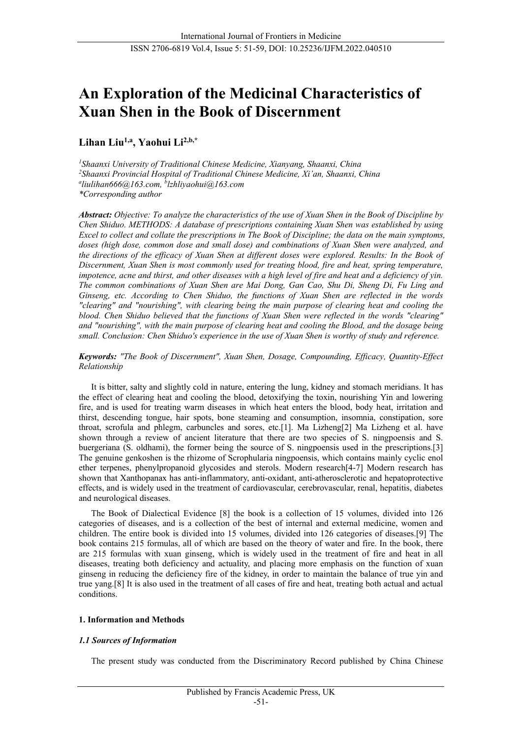# **An Exploration of the Medicinal Characteristics of Xuan Shen in the Book of Discernment**

# **Lihan Liu1,a, Yaohui Li2,b,\***

*1 Shaanxi University of Traditional Chinese Medicine, Xianyang, Shaanxi, China 2 Shaanxi Provincial Hospital of Traditional Chinese Medicine, Xi'an, Shaanxi, China a liulihan666@163.com, b lzhliyaohui@163.com \*Corresponding author*

*Abstract: Objective: To analyze the characteristics of the use of Xuan Shen in the Book of Discipline by Chen Shiduo. METHODS: A database of prescriptions containing Xuan Shen was established by using Excel to collect and collate the prescriptions in The Book of Discipline; the data on the main symptoms, doses (high dose, common dose and small dose) and combinations of Xuan Shen were analyzed, and the directions of the efficacy of Xuan Shen at different doses were explored. Results: In the Book of Discernment, Xuan Shen is most commonly used for treating blood, fire and heat, spring temperature, impotence, acne and thirst, and other diseases with a high level of fire and heat and a deficiency of yin. The common combinations of Xuan Shen are Mai Dong, Gan Cao, Shu Di, Sheng Di, Fu Ling and Ginseng, etc. According to Chen Shiduo, the functions of Xuan Shen are reflected in the words "clearing" and "nourishing", with clearing being the main purpose of clearing heat and cooling the blood. Chen Shiduo believed that the functions of Xuan Shen were reflected in the words "clearing" and "nourishing", with the main purpose of clearing heat and cooling the Blood, and the dosage being small. Conclusion: Chen Shiduo's experience in the use of Xuan Shen is worthy of study and reference.*

# *Keywords: "The Book of Discernment", Xuan Shen, Dosage, Compounding, Efficacy, Quantity-Effect Relationship*

It is bitter, salty and slightly cold in nature, entering the lung, kidney and stomach meridians. It has the effect of clearing heat and cooling the blood, detoxifying the toxin, nourishing Yin and lowering fire, and is used for treating warm diseases in which heat enters the blood, body heat, irritation and thirst, descending tongue, hair spots, bone steaming and consumption, insomnia, constipation, sore throat, scrofula and phlegm, carbuncles and sores, etc[.\[1\].](#page-7-0) Ma Lizhen[g\[2\]](#page-7-0) Ma Lizheng et al. have shown through a review of ancient literature that there are two species of S. ningpoensis and S. buergeriana (S. oldhami), the former being the source of S. ningpoensis used in the prescriptions[.\[3\]](#page-7-1) The genuine genkoshen is the rhizome of Scrophularia ningpoensis, which contains mainly cyclic enol ether terpenes, phenylpropanoid glycosides and sterols. Modern researc[h\[4-7\]](#page-7-2) Modern research has shown that Xanthopanax has anti-inflammatory, anti-oxidant, anti-atherosclerotic and hepatoprotective effects, and is widely used in the treatment of cardiovascular, cerebrovascular, renal, hepatitis, diabetes and neurological diseases.

The Book of Dialectical Evidence [\[8\]](#page-7-3) the book is a collection of 15 volumes, divided into 126 categories of diseases, and is a collection of the best of internal and external medicine, women and children. The entire book is divided into 15 volumes, divided into 126 categories of diseases[.\[9\]](#page-7-4) The book contains 215 formulas, all of which are based on the theory of water and fire. In the book, there are 215 formulas with xuan ginseng, which is widely used in the treatment of fire and heat in all diseases, treating both deficiency and actuality, and placing more emphasis on the function of xuan ginseng in reducing the deficiency fire of the kidney, in order to maintain the balance of true yin and true yang[.\[8\]](#page-7-5) It is also used in the treatment of all cases of fire and heat, treating both actual and actual conditions.

# **1. Information and Methods**

# *1.1 Sources of Information*

The present study was conducted from the Discriminatory Record published by China Chinese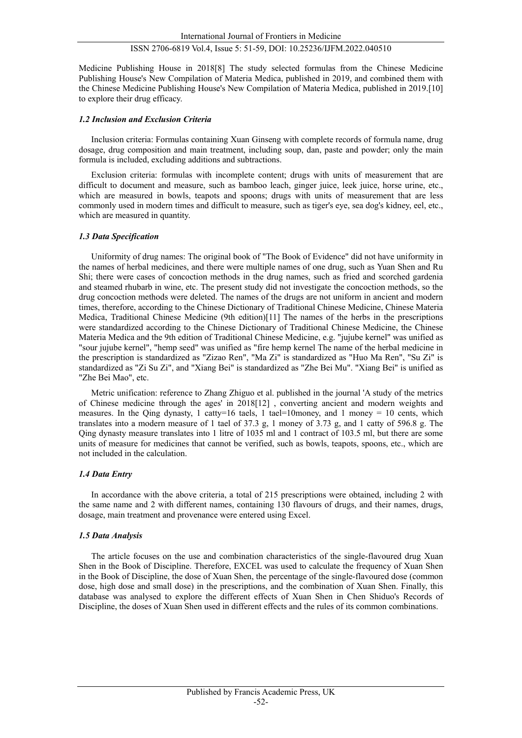Medicine Publishing House in 201[8\[8\]](#page-7-3) The study selected formulas from the Chinese Medicine Publishing House's New Compilation of Materia Medica, published in 2019, and combined them with the Chinese Medicine Publishing House's New Compilation of Materia Medica, published in 2019[.\[10\]](#page-7-6) to explore their drug efficacy.

### *1.2 Inclusion and Exclusion Criteria*

Inclusion criteria: Formulas containing Xuan Ginseng with complete records of formula name, drug dosage, drug composition and main treatment, including soup, dan, paste and powder; only the main formula is included, excluding additions and subtractions.

Exclusion criteria: formulas with incomplete content; drugs with units of measurement that are difficult to document and measure, such as bamboo leach, ginger juice, leek juice, horse urine, etc., which are measured in bowls, teapots and spoons; drugs with units of measurement that are less commonly used in modern times and difficult to measure, such as tiger's eye, sea dog's kidney, eel, etc., which are measured in quantity.

### *1.3 Data Specification*

Uniformity of drug names: The original book of "The Book of Evidence" did not have uniformity in the names of herbal medicines, and there were multiple names of one drug, such as Yuan Shen and Ru Shi; there were cases of concoction methods in the drug names, such as fried and scorched gardenia and steamed rhubarb in wine, etc. The present study did not investigate the concoction methods, so the drug concoction methods were deleted. The names of the drugs are not uniform in ancient and modern times, therefore, according to the Chinese Dictionary of Traditional Chinese Medicine, Chinese Materia Medica, Traditional Chinese Medicine (9th edition[\)\[11\]](#page-7-7) The names of the herbs in the prescriptions were standardized according to the Chinese Dictionary of Traditional Chinese Medicine, the Chinese Materia Medica and the 9th edition of Traditional Chinese Medicine, e.g. "jujube kernel" was unified as "sour jujube kernel", "hemp seed" was unified as "fire hemp kernel The name of the herbal medicine in the prescription is standardized as "Zizao Ren", "Ma Zi" is standardized as "Huo Ma Ren", "Su Zi" is standardized as "Zi Su Zi", and "Xiang Bei" is standardized as "Zhe Bei Mu". "Xiang Bei" is unified as "Zhe Bei Mao", etc.

Metric unification: reference to Zhang Zhiguo et al. published in the journal 'A study of the metrics of Chinese medicine through the ages' in 201[8\[12\]](#page-7-8) , converting ancient and modern weights and measures. In the Qing dynasty, 1 catty=16 taels, 1 tael=10money, and 1 money = 10 cents, which translates into a modern measure of 1 tael of 37.3 g, 1 money of 3.73 g, and 1 catty of 596.8 g. The Qing dynasty measure translates into 1 litre of 1035 ml and 1 contract of 103.5 ml, but there are some units of measure for medicines that cannot be verified, such as bowls, teapots, spoons, etc., which are not included in the calculation.

# *1.4 Data Entry*

In accordance with the above criteria, a total of 215 prescriptions were obtained, including 2 with the same name and 2 with different names, containing 130 flavours of drugs, and their names, drugs, dosage, main treatment and provenance were entered using Excel.

### *1.5 Data Analysis*

The article focuses on the use and combination characteristics of the single-flavoured drug Xuan Shen in the Book of Discipline. Therefore, EXCEL was used to calculate the frequency of Xuan Shen in the Book of Discipline, the dose of Xuan Shen, the percentage of the single-flavoured dose (common dose, high dose and small dose) in the prescriptions, and the combination of Xuan Shen. Finally, this database was analysed to explore the different effects of Xuan Shen in Chen Shiduo's Records of Discipline, the doses of Xuan Shen used in different effects and the rules of its common combinations.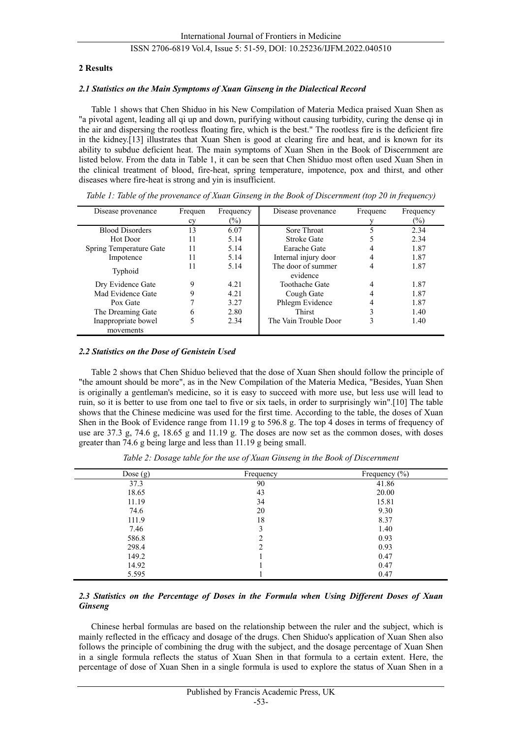### **2 Results**

### *2.1 Statistics on the Main Symptoms of Xuan Ginseng in the Dialectical Record*

Table 1 shows that Chen Shiduo in his New Compilation of Materia Medica praised Xuan Shen as "a pivotal agent, leading all qi up and down, purifying without causing turbidity, curing the dense qi in the air and dispersing the rootless floating fire, which is the best." The rootless fire is the deficient fire in the kidney.[13] illustrates that Xuan Shen is good at clearing fire and heat, and is known for its ability to subdue deficient heat. The main symptoms of Xuan Shen in the Book of Discernment are listed below. From the data in Table 1, it can be seen that Chen Shiduo most often used Xuan Shen in the clinical treatment of blood, fire-heat, spring temperature, impotence, pox and thirst, and other diseases where fire-heat is strong and yin is insufficient.

| Disease provenance      | Frequen | Frequency | Disease provenance             | Frequenc | Frequency |
|-------------------------|---------|-----------|--------------------------------|----------|-----------|
|                         | cy      | $(\%)$    |                                |          | $(\%)$    |
| <b>Blood Disorders</b>  | 13      | 6.07      | Sore Throat                    |          | 2.34      |
| Hot Door                | 11      | 5.14      | <b>Stroke Gate</b>             |          | 2.34      |
| Spring Temperature Gate | 11      | 5.14      | Earache Gate                   | 4        | 1.87      |
| Impotence               |         | 5.14      | Internal injury door           | 4        | 1.87      |
| Typhoid                 | 11      | 5.14      | The door of summer<br>evidence | 4        | 1.87      |
| Dry Evidence Gate       | 9       | 4.21      | <b>Toothache Gate</b>          | 4        | 1.87      |
| Mad Evidence Gate       |         | 4.21      | Cough Gate                     | 4        | 1.87      |
| Pox Gate                |         | 3.27      | Phlegm Evidence                | 4        | 1.87      |
| The Dreaming Gate       | 6       | 2.80      | Thirst                         | 3        | 1.40      |
| Inappropriate bowel     |         | 2.34      | The Vain Trouble Door          | 3        | 1.40      |
| movements               |         |           |                                |          |           |

*Table 1: Table of the provenance of Xuan Ginseng in the Book of Discernment (top 20 in frequency)*

### *2.2 Statistics on the Dose of Genistein Used*

Table 2 shows that Chen Shiduo believed that the dose of Xuan Shen should follow the principle of "the amount should be more", as in the New Compilation of the Materia Medica, "Besides, Yuan Shen is originally a gentleman's medicine, so it is easy to succeed with more use, but less use will lead to ruin, so it is better to use from one tael to five or six taels, in order to surprisingly win"[.\[10\]](#page-7-6) The table shows that the Chinese medicine was used for the first time. According to the table, the doses of Xuan Shen in the Book of Evidence range from 11.19 g to 596.8 g. The top 4 doses in terms of frequency of use are 37.3 g, 74.6 g, 18.65 g and 11.19 g. The doses are now set as the common doses, with doses greater than 74.6 g being large and less than 11.19 g being small.

| Dose $(g)$ | Frequency | Frequency $(\% )$ |
|------------|-----------|-------------------|
| 37.3       | 90        | 41.86             |
| 18.65      | 43        | 20.00             |
| 11.19      | 34        | 15.81             |
| 74.6       | 20        | 9.30              |
| 111.9      | 18        | 8.37              |
| 7.46       | 3         | 1.40              |
| 586.8      | ↑         | 0.93              |
| 298.4      | C         | 0.93              |
| 149.2      |           | 0.47              |
| 14.92      |           | 0.47              |
| 5.595      |           | 0.47              |

*Table 2: Dosage table for the use of Xuan Ginseng in the Book of Discernment*

# *2.3 Statistics on the Percentage of Doses in the Formula when Using Different Doses of Xuan Ginseng*

Chinese herbal formulas are based on the relationship between the ruler and the subject, which is mainly reflected in the efficacy and dosage of the drugs. Chen Shiduo's application of Xuan Shen also follows the principle of combining the drug with the subject, and the dosage percentage of Xuan Shen in a single formula reflects the status of Xuan Shen in that formula to a certain extent. Here, the percentage of dose of Xuan Shen in a single formula is used to explore the status of Xuan Shen in a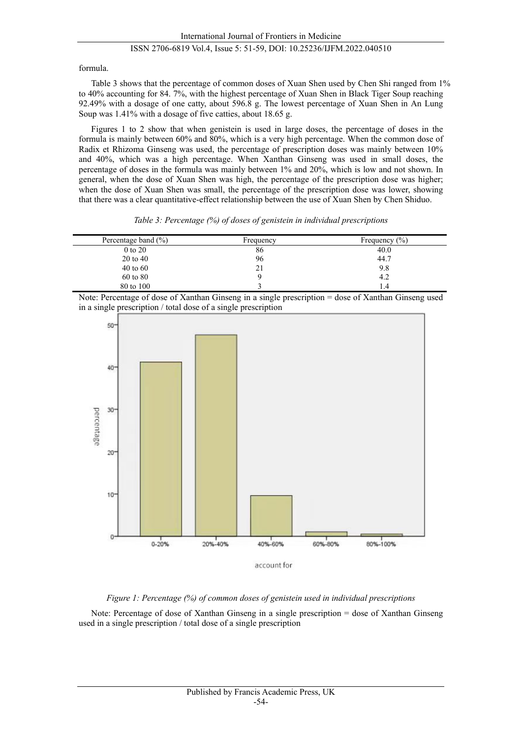formula.

Table 3 shows that the percentage of common doses of Xuan Shen used by Chen Shi ranged from 1% to 40% accounting for 84. 7%, with the highest percentage of Xuan Shen in Black Tiger Soup reaching 92.49% with a dosage of one catty, about 596.8 g. The lowest percentage of Xuan Shen in An Lung Soup was 1.41% with a dosage of five catties, about 18.65 g.

Figures 1 to 2 show that when genistein is used in large doses, the percentage of doses in the formula is mainly between 60% and 80%, which is a very high percentage. When the common dose of Radix et Rhizoma Ginseng was used, the percentage of prescription doses was mainly between 10% and 40%, which was a high percentage. When Xanthan Ginseng was used in small doses, the percentage of doses in the formula was mainly between 1% and 20%, which is low and not shown. In general, when the dose of Xuan Shen was high, the percentage of the prescription dose was higher; when the dose of Xuan Shen was small, the percentage of the prescription dose was lower, showing that there was a clear quantitative-effect relationship between the use of Xuan Shen by Chen Shiduo.

| Table 3: Percentage $(\%)$ of doses of genistein in individual prescriptions |  |  |
|------------------------------------------------------------------------------|--|--|
|                                                                              |  |  |

| Percentage band $(\% )$ | Frequency | Frequency $(\% )$ |
|-------------------------|-----------|-------------------|
| 0 to 20                 | 86        | 40.0              |
| $20$ to $40$            | 96        | 44.7              |
| $40 \text{ to } 60$     | 21        | 9.8               |
| 60 to 80                |           | 4.2               |
| 80 to 100               |           | 1.4               |

Note: Percentage of dose of Xanthan Ginseng in a single prescription = dose of Xanthan Ginseng used in a single prescription / total dose of a single prescription



# *Figure 1: Percentage (%) of common doses of genistein used in individual prescriptions*

Note: Percentage of dose of Xanthan Ginseng in a single prescription = dose of Xanthan Ginseng used in a single prescription / total dose of a single prescription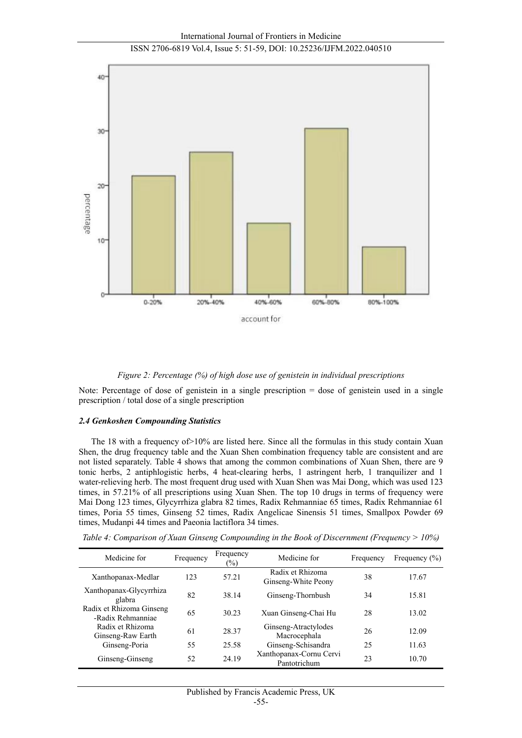



*Figure 2: Percentage (%) of high dose use of genistein in individual prescriptions*

Note: Percentage of dose of genistein in a single prescription = dose of genistein used in a single prescription / total dose of a single prescription

### *2.4 Genkoshen Compounding Statistics*

The 18 with a frequency of>10% are listed here. Since all the formulas in this study contain Xuan Shen, the drug frequency table and the Xuan Shen combination frequency table are consistent and are not listed separately. Table 4 shows that among the common combinations of Xuan Shen, there are 9 tonic herbs, 2 antiphlogistic herbs, 4 heat-clearing herbs, 1 astringent herb, 1 tranquilizer and 1 water-relieving herb. The most frequent drug used with Xuan Shen was Mai Dong, which was used 123 times, in 57.21% of all prescriptions using Xuan Shen. The top 10 drugs in terms of frequency were Mai Dong 123 times, Glycyrrhiza glabra 82 times, Radix Rehmanniae 65 times, Radix Rehmanniae 61 times, Poria 55 times, Ginseng 52 times, Radix Angelicae Sinensis 51 times, Smallpox Powder 69 times, Mudanpi 44 times and Paeonia lactiflora 34 times.

*Table 4: Comparison of Xuan Ginseng Compounding in the Book of Discernment (Frequency > 10%)*

| Medicine for                                  | Frequency | Frequency<br>$\frac{1}{2}$ | Medicine for                            | Frequency | Frequency $(\% )$ |
|-----------------------------------------------|-----------|----------------------------|-----------------------------------------|-----------|-------------------|
| Xanthopanax-Medlar                            | 123       | 57.21                      | Radix et Rhizoma<br>Ginseng-White Peony | 38        | 17.67             |
| Xanthopanax-Glycyrrhiza<br>glabra             | 82        | 38.14                      | Ginseng-Thornbush                       | 34        | 15.81             |
| Radix et Rhizoma Ginseng<br>-Radix Rehmanniae | 65        | 30.23                      | Xuan Ginseng-Chai Hu                    | 28        | 13.02             |
| Radix et Rhizoma<br>Ginseng-Raw Earth         | 61        | 28.37                      | Ginseng-Atractylodes<br>Macrocephala    | 26        | 12.09             |
| Ginseng-Poria                                 | 55        | 25.58                      | Ginseng-Schisandra                      | 25        | 11.63             |
| Ginseng-Ginseng                               | 52        | 24.19                      | Xanthopanax-Cornu Cervi<br>Pantotrichum | 23        | 10.70             |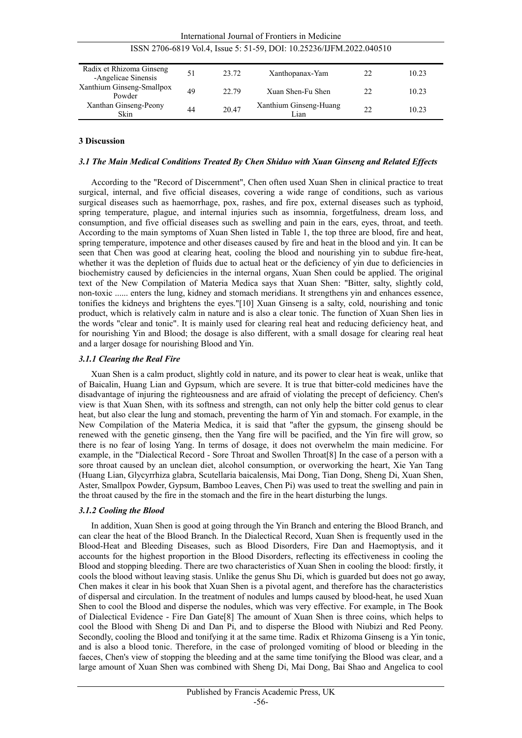| 1551 2700-0819 VOL4, ISSUE 3. 31-39, DOI: 10.23230/IJFINI.2022.040310 |    |       |                                |    |       |  |
|-----------------------------------------------------------------------|----|-------|--------------------------------|----|-------|--|
| Radix et Rhizoma Ginseng<br>-Angelicae Sinensis                       | 51 | 23.72 | Xanthopanax-Yam                | 22 | 10.23 |  |
| Xanthium Ginseng-Smallpox<br>Powder                                   | 49 | 22.79 | Xuan Shen-Fu Shen              | 22 | 10.23 |  |
| Xanthan Ginseng-Peony<br>Skin                                         | 44 | 20.47 | Xanthium Ginseng-Huang<br>Lian | 22 | 10.23 |  |

#### International Journal of Frontiers in Medicine ISSN 2706-6819 Vol.4, Issue 5: 51-59, DOI: 10.25236/IJFM.2022.040510

# **3 Discussion**

## *3.1 The Main Medical Conditions Treated By Chen Shiduo with Xuan Ginseng and Related Effects*

According to the "Record of Discernment", Chen often used Xuan Shen in clinical practice to treat surgical, internal, and five official diseases, covering a wide range of conditions, such as various surgical diseases such as haemorrhage, pox, rashes, and fire pox, external diseases such as typhoid, spring temperature, plague, and internal injuries such as insomnia, forgetfulness, dream loss, and consumption, and five official diseases such as swelling and pain in the ears, eyes, throat, and teeth. According to the main symptoms of Xuan Shen listed in Table 1, the top three are blood, fire and heat, spring temperature, impotence and other diseases caused by fire and heat in the blood and yin. It can be seen that Chen was good at clearing heat, cooling the blood and nourishing yin to subdue fire-heat, whether it was the depletion of fluids due to actual heat or the deficiency of yin due to deficiencies in biochemistry caused by deficiencies in the internal organs, Xuan Shen could be applied. The original text of the New Compilation of Materia Medica says that Xuan Shen: "Bitter, salty, slightly cold, non-toxic ...... enters the lung, kidney and stomach meridians. It strengthens yin and enhances essence, tonifies the kidneys and brightens the eyes.["\[10\]](#page-7-6) Xuan Ginseng is a salty, cold, nourishing and tonic product, which is relatively calm in nature and is also a clear tonic. The function of Xuan Shen lies in the words "clear and tonic". It is mainly used for clearing real heat and reducing deficiency heat, and for nourishing Yin and Blood; the dosage is also different, with a small dosage for clearing real heat and a larger dosage for nourishing Blood and Yin.

### *3.1.1 Clearing the Real Fire*

Xuan Shen is a calm product, slightly cold in nature, and its power to clear heat is weak, unlike that of Baicalin, Huang Lian and Gypsum, which are severe. It is true that bitter-cold medicines have the disadvantage of injuring the righteousness and are afraid of violating the precept of deficiency. Chen's view is that Xuan Shen, with its softness and strength, can not only help the bitter cold genus to clear heat, but also clear the lung and stomach, preventing the harm of Yin and stomach. For example, in the New Compilation of the Materia Medica, it is said that "after the gypsum, the ginseng should be renewed with the genetic ginseng, then the Yang fire will be pacified, and the Yin fire will grow, so there is no fear of losing Yang. In terms of dosage, it does not overwhelm the main medicine. For example, in the "Dialectical Record - Sore Throat and Swollen Throa[t\[8\]](#page-7-3) In the case of a person with a sore throat caused by an unclean diet, alcohol consumption, or overworking the heart, Xie Yan Tang (Huang Lian, Glycyrrhiza glabra, Scutellaria baicalensis, Mai Dong, Tian Dong, Sheng Di, Xuan Shen, Aster, Smallpox Powder, Gypsum, Bamboo Leaves, Chen Pi) was used to treat the swelling and pain in the throat caused by the fire in the stomach and the fire in the heart disturbing the lungs.

### *3.1.2 Cooling the Blood*

In addition, Xuan Shen is good at going through the Yin Branch and entering the Blood Branch, and can clear the heat of the Blood Branch. In the Dialectical Record, Xuan Shen is frequently used in the Blood-Heat and Bleeding Diseases, such as Blood Disorders, Fire Dan and Haemoptysis, and it accounts for the highest proportion in the Blood Disorders, reflecting its effectiveness in cooling the Blood and stopping bleeding. There are two characteristics of Xuan Shen in cooling the blood: firstly, it cools the blood without leaving stasis. Unlike the genus Shu Di, which is guarded but does not go away, Chen makes it clear in his book that Xuan Shen is a pivotal agent, and therefore has the characteristics of dispersal and circulation. In the treatment of nodules and lumps caused by blood-heat, he used Xuan Shen to cool the Blood and disperse the nodules, which was very effective. For example, in The Book of Dialectical Evidence - Fire Dan Gat[e\[8\]](#page-7-3) The amount of Xuan Shen is three coins, which helps to cool the Blood with Sheng Di and Dan Pi, and to disperse the Blood with Niubizi and Red Peony. Secondly, cooling the Blood and tonifying it at the same time. Radix et Rhizoma Ginseng is a Yin tonic, and is also a blood tonic. Therefore, in the case of prolonged vomiting of blood or bleeding in the faeces, Chen's view of stopping the bleeding and at the same time tonifying the Blood was clear, and a large amount of Xuan Shen was combined with Sheng Di, Mai Dong, Bai Shao and Angelica to cool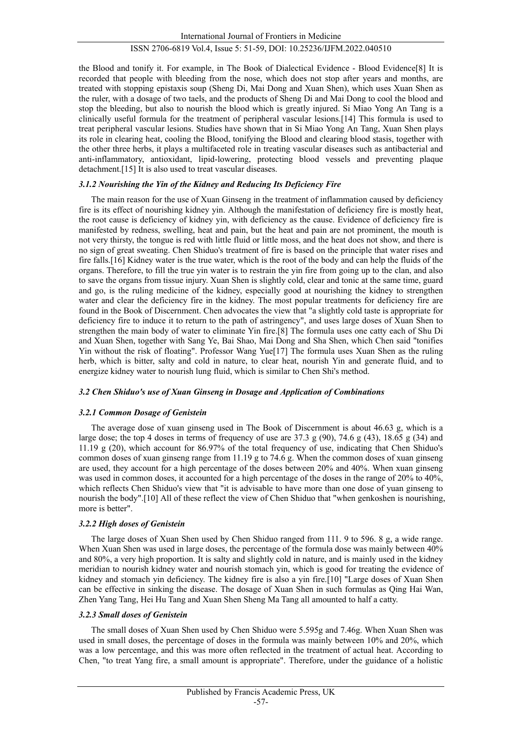the Blood and tonify it. For example, in The Book of Dialectical Evidence - Blood Evidenc[e\[8\]](#page-7-3) It is recorded that people with bleeding from the nose, which does not stop after years and months, are treated with stopping epistaxis soup (Sheng Di, Mai Dong and Xuan Shen), which uses Xuan Shen as the ruler, with a dosage of two taels, and the products of Sheng Di and Mai Dong to cool the blood and stop the bleeding, but also to nourish the blood which is greatly injured. Si Miao Yong An Tang is a clinically useful formula for the treatment of peripheral vascular lesions[.\[14\]](#page-8-0) This formula is used to treat peripheral vascular lesions. Studies have shown that in Si Miao Yong An Tang, Xuan Shen plays its role in clearing heat, cooling the Blood, tonifying the Blood and clearing blood stasis, together with the other three herbs, it plays a multifaceted role in treating vascular diseases such as antibacterial and anti-inflammatory, antioxidant, lipid-lowering, protecting blood vessels and preventing plaque detachment[.\[15\]](#page-8-1) It is also used to treat vascular diseases.

# *3.1.2 Nourishing the Yin of the Kidney and Reducing Its Deficiency Fire*

The main reason for the use of Xuan Ginseng in the treatment of inflammation caused by deficiency fire is its effect of nourishing kidney yin. Although the manifestation of deficiency fire is mostly heat, the root cause is deficiency of kidney yin, with deficiency as the cause. Evidence of deficiency fire is manifested by redness, swelling, heat and pain, but the heat and pain are not prominent, the mouth is not very thirsty, the tongue is red with little fluid or little moss, and the heat does not show, and there is no sign of great sweating. Chen Shiduo's treatment of fire is based on the principle that water rises and fire falls[.\[16\]](#page-8-2) Kidney water is the true water, which is the root of the body and can help the fluids of the organs. Therefore, to fill the true yin water is to restrain the yin fire from going up to the clan, and also to save the organs from tissue injury. Xuan Shen is slightly cold, clear and tonic at the same time, guard and go, is the ruling medicine of the kidney, especially good at nourishing the kidney to strengthen water and clear the deficiency fire in the kidney. The most popular treatments for deficiency fire are found in the Book of Discernment. Chen advocates the view that "a slightly cold taste is appropriate for deficiency fire to induce it to return to the path of astringency", and uses large doses of Xuan Shen to strengthen the main body of water to eliminate Yin fir[e.\[8\]](#page-7-3) The formula uses one catty each of Shu Di and Xuan Shen, together with Sang Ye, Bai Shao, Mai Dong and Sha Shen, which Chen said "tonifies Yin without the risk of floating". Professor Wang Yu[e\[17\]](#page-8-3) The formula uses Xuan Shen as the ruling herb, which is bitter, salty and cold in nature, to clear heat, nourish Yin and generate fluid, and to energize kidney water to nourish lung fluid, which is similar to Chen Shi's method.

# *3.2 Chen Shiduo's use of Xuan Ginseng in Dosage and Application of Combinations*

# *3.2.1 Common Dosage of Genistein*

The average dose of xuan ginseng used in The Book of Discernment is about 46.63 g, which is a large dose; the top 4 doses in terms of frequency of use are 37.3 g  $(90)$ , 74.6 g  $(43)$ , 18.65 g  $(34)$  and 11.19 g (20), which account for 86.97% of the total frequency of use, indicating that Chen Shiduo's common doses of xuan ginseng range from 11.19 g to 74.6 g. When the common doses of xuan ginseng are used, they account for a high percentage of the doses between 20% and 40%. When xuan ginseng was used in common doses, it accounted for a high percentage of the doses in the range of 20% to 40%, which reflects Chen Shiduo's view that "it is advisable to have more than one dose of yuan ginseng to nourish the body[".\[10\]](#page-7-6) All of these reflect the view of Chen Shiduo that "when genkoshen is nourishing, more is better".

# *3.2.2 High doses of Genistein*

The large doses of Xuan Shen used by Chen Shiduo ranged from 111. 9 to 596. 8 g, a wide range. When Xuan Shen was used in large doses, the percentage of the formula dose was mainly between 40% and 80%, a very high proportion. It is salty and slightly cold in nature, and is mainly used in the kidney meridian to nourish kidney water and nourish stomach yin, which is good for treating the evidence of kidney and stomach yin deficiency. The kidney fire is also a yin fire[.\[10\]](#page-7-6) "Large doses of Xuan Shen can be effective in sinking the disease. The dosage of Xuan Shen in such formulas as Qing Hai Wan, Zhen Yang Tang, Hei Hu Tang and Xuan Shen Sheng Ma Tang all amounted to half a catty.

# *3.2.3 Small doses of Genistein*

The small doses of Xuan Shen used by Chen Shiduo were 5.595g and 7.46g. When Xuan Shen was used in small doses, the percentage of doses in the formula was mainly between 10% and 20%, which was a low percentage, and this was more often reflected in the treatment of actual heat. According to Chen, "to treat Yang fire, a small amount is appropriate". Therefore, under the guidance of a holistic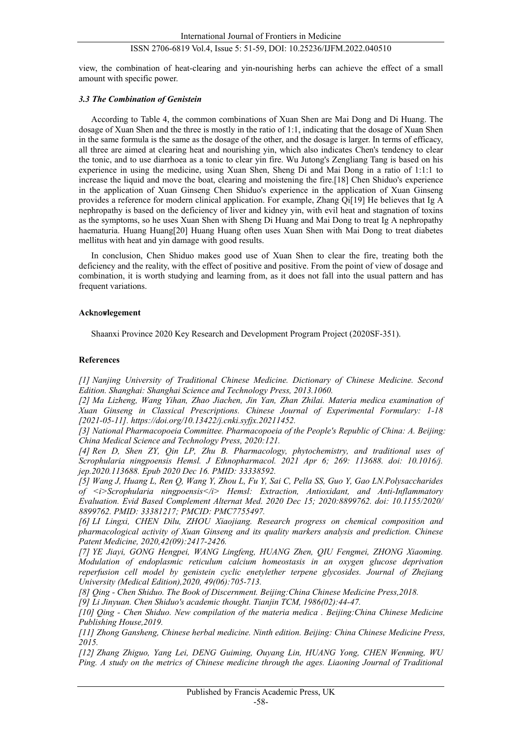view, the combination of heat-clearing and yin-nourishing herbs can achieve the effect of a small amount with specific power.

# *3.3 The Combination of Genistein*

According to Table 4, the common combinations of Xuan Shen are Mai Dong and Di Huang. The dosage of Xuan Shen and the three is mostly in the ratio of 1:1, indicating that the dosage of Xuan Shen in the same formula is the same as the dosage of the other, and the dosage is larger. In terms of efficacy, all three are aimed at clearing heat and nourishing yin, which also indicates Chen's tendency to clear the tonic, and to use diarrhoea as a tonic to clear yin fire. Wu Jutong's Zengliang Tang is based on his experience in using the medicine, using Xuan Shen, Sheng Di and Mai Dong in a ratio of 1:1:1 to increase the liquid and move the boat, clearing and moistening the fire.[18] Chen Shiduo's experience in the application of Xuan Ginseng Chen Shiduo's experience in the application of Xuan Ginseng provides a reference for modern clinical application. For example, Zhang Qi[19] He believes that Ig A nephropathy is based on the deficiency of liver and kidney yin, with evil heat and stagnation of toxins as the symptoms, so he uses Xuan Shen with Sheng Di Huang and Mai Dong to treat Ig A nephropathy haematuria. Huang Huan[g\[20\]](#page-8-4) Huang Huang often uses Xuan Shen with Mai Dong to treat diabetes mellitus with heat and yin damage with good results.

In conclusion, Chen Shiduo makes good use of Xuan Shen to clear the fire, treating both the deficiency and the reality, with the effect of positive and positive. From the point of view of dosage and combination, it is worth studying and learning from, as it does not fall into the usual pattern and has frequent variations.

# **Ack**now**legement**

Shaanxi Province 2020 Key Research and Development Program Project (2020SF-351).

### **References**

<span id="page-7-0"></span>*[1] Nanjing University of Traditional Chinese Medicine. Dictionary of Chinese Medicine. Second Edition. Shanghai: Shanghai Science and Technology Press, 2013.1060.*

*[2] Ma Lizheng, Wang Yihan, Zhao Jiachen, Jin Yan, Zhan Zhilai. Materia medica examination of Xuan Ginseng in Classical Prescriptions. Chinese Journal of Experimental Formulary: 1-18 [2021-05-11]. https://doi.org/10.13422/j.cnki.syfjx.20211452.*

<span id="page-7-1"></span>*[3] National Pharmacopoeia Committee. Pharmacopoeia of the People's Republic of China: A. Beijing: China Medical Science and Technology Press, 2020:121.*

*[4] Ren D, Shen ZY, Qin LP, Zhu B. Pharmacology, phytochemistry, and traditional uses of Scrophularia ningpoensis Hemsl. J Ethnopharmacol. 2021 Apr 6; 269: 113688. doi: 10.1016/j. jep.2020.113688. Epub 2020 Dec 16. PMID: 33338592.*

*[5] Wang J, Huang L, Ren Q, Wang Y, Zhou L, Fu Y, Sai C, Pella SS, Guo Y, Gao LN.Polysaccharides of <i>Scrophularia ningpoensis</i> Hemsl: Extraction, Antioxidant, and Anti-Inflammatory Evaluation. Evid Based Complement Alternat Med. 2020 Dec 15; 2020:8899762. doi: 10.1155/2020/ 8899762. PMID: 33381217; PMCID: PMC7755497.*

*[6] LI Lingxi, CHEN Dilu, ZHOU Xiaojiang. Research progress on chemical composition and pharmacological activity of Xuan Ginseng and its quality markers analysis and prediction. Chinese Patent Medicine, 2020,42(09):2417-2426.*

<span id="page-7-2"></span>*[7] YE Jiayi, GONG Hengpei, WANG Lingfeng, HUANG Zhen, QIU Fengmei, ZHONG Xiaoming. Modulation of endoplasmic reticulum calcium homeostasis in an oxygen glucose deprivation reperfusion cell model by genistein cyclic enetylether terpene glycosides. Journal of Zhejiang University (Medical Edition),2020, 49(06):705-713.*

<span id="page-7-3"></span>*[8] Qing - Chen Shiduo. The Book of Discernment. Beijing:China Chinese Medicine Press,2018.*

<span id="page-7-5"></span><span id="page-7-4"></span>*[9] Li Jinyuan. Chen Shiduo's academic thought. Tianjin TCM, 1986(02):44-47.*

<span id="page-7-6"></span>*[10] Qing - Chen Shiduo. New compilation of the materia medica . Beijing:China Chinese Medicine Publishing House,2019.*

<span id="page-7-7"></span>*[11] Zhong Gansheng, Chinese herbal medicine. Ninth edition. Beijing: China Chinese Medicine Press, 2015.*

<span id="page-7-8"></span>*[12] Zhang Zhiguo, Yang Lei, DENG Guiming, Ouyang Lin, HUANG Yong, CHEN Wenming, WU Ping. A study on the metrics of Chinese medicine through the ages. Liaoning Journal of Traditional*